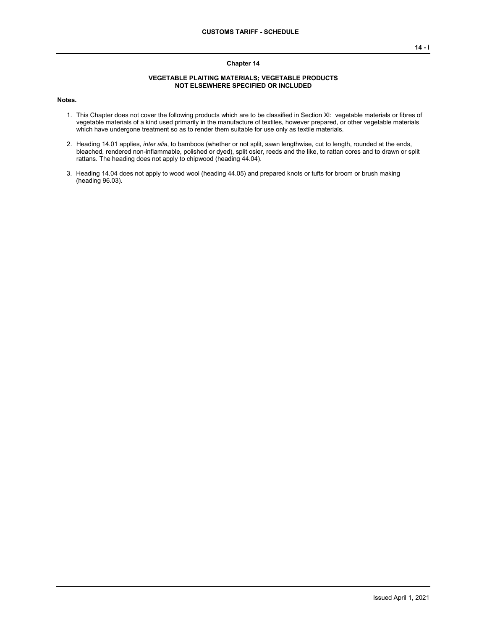## **Chapter 14**

## **VEGETABLE PLAITING MATERIALS; VEGETABLE PRODUCTS NOT ELSEWHERE SPECIFIED OR INCLUDED**

**Notes.**

- 1. This Chapter does not cover the following products which are to be classified in Section XI: vegetable materials or fibres of vegetable materials of a kind used primarily in the manufacture of textiles, however prepared, or other vegetable materials which have undergone treatment so as to render them suitable for use only as textile materials.
- 2. Heading 14.01 applies, *inter alia*, to bamboos (whether or not split, sawn lengthwise, cut to length, rounded at the ends, bleached, rendered non-inflammable, polished or dyed), split osier, reeds and the like, to rattan cores and to drawn or split rattans. The heading does not apply to chipwood (heading 44.04).
- 3. Heading 14.04 does not apply to wood wool (heading 44.05) and prepared knots or tufts for broom or brush making (heading 96.03).